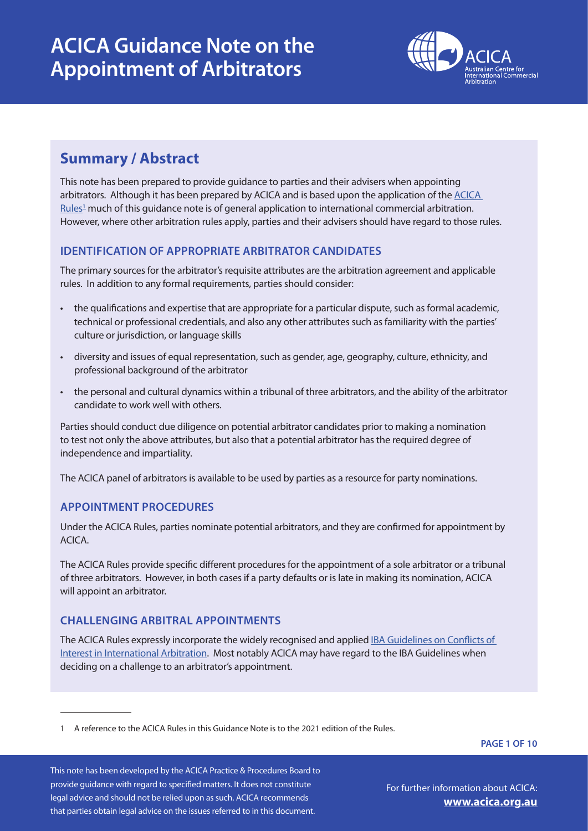

### **Summary / Abstract**

This note has been prepared to provide guidance to parties and their advisers when appointing arbitrators. Although it has been prepared by ACICA and is based upon the application of the [ACICA](https://acica.org.au/acica-rules-2021/)   $Rules<sup>1</sup>$  much of this guidance note is of general application to international commercial arbitration. However, where other arbitration rules apply, parties and their advisers should have regard to those rules.

### **IDENTIFICATION OF APPROPRIATE ARBITRATOR CANDIDATES**

The primary sources for the arbitrator's requisite attributes are the arbitration agreement and applicable rules. In addition to any formal requirements, parties should consider:

- the qualifications and expertise that are appropriate for a particular dispute, such as formal academic, technical or professional credentials, and also any other attributes such as familiarity with the parties' culture or jurisdiction, or language skills
- diversity and issues of equal representation, such as gender, age, geography, culture, ethnicity, and professional background of the arbitrator
- the personal and cultural dynamics within a tribunal of three arbitrators, and the ability of the arbitrator candidate to work well with others.

Parties should conduct due diligence on potential arbitrator candidates prior to making a nomination to test not only the above attributes, but also that a potential arbitrator has the required degree of independence and impartiality.

The ACICA panel of arbitrators is available to be used by parties as a resource for party nominations.

### **APPOINTMENT PROCEDURES**

Under the ACICA Rules, parties nominate potential arbitrators, and they are confirmed for appointment by ACICA.

The ACICA Rules provide specific different procedures for the appointment of a sole arbitrator or a tribunal of three arbitrators. However, in both cases if a party defaults or is late in making its nomination, ACICA will appoint an arbitrator.

### **CHALLENGING ARBITRAL APPOINTMENTS**

The ACICA Rules expressly incorporate the widely recognised and applied [IBA Guidelines on Conflicts of](file:https://www.ibanet.org/MediaHandler%3Fid%3Ddef0807b-9fec-43ef-b624-f2cb2af7cf7b)  [Interest in International Arbitration.](file:https://www.ibanet.org/MediaHandler%3Fid%3Ddef0807b-9fec-43ef-b624-f2cb2af7cf7b) Most notably ACICA may have regard to the IBA Guidelines when deciding on a challenge to an arbitrator's appointment.

**PAGE 1 OF 10**

<sup>1</sup> A reference to the ACICA Rules in this Guidance Note is to the 2021 edition of the Rules.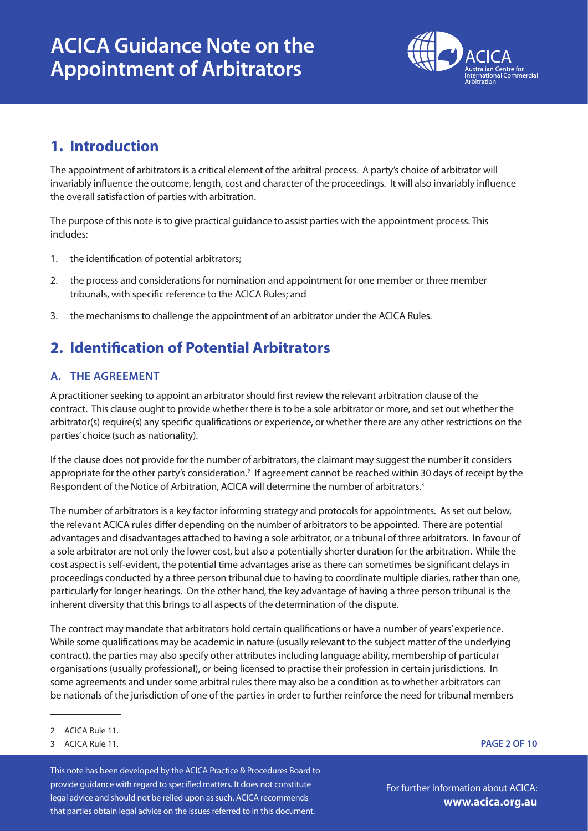

## **1. Introduction**

The appointment of arbitrators is a critical element of the arbitral process. A party's choice of arbitrator will invariably influence the outcome, length, cost and character of the proceedings. It will also invariably influence the overall satisfaction of parties with arbitration.

The purpose of this note is to give practical guidance to assist parties with the appointment process. This includes:

- 1. the identification of potential arbitrators;
- 2. the process and considerations for nomination and appointment for one member or three member tribunals, with specific reference to the ACICA Rules; and
- 3. the mechanisms to challenge the appointment of an arbitrator under the ACICA Rules.

# **2. Identification of Potential Arbitrators**

### **A. THE AGREEMENT**

A practitioner seeking to appoint an arbitrator should first review the relevant arbitration clause of the contract. This clause ought to provide whether there is to be a sole arbitrator or more, and set out whether the arbitrator(s) require(s) any specific qualifications or experience, or whether there are any other restrictions on the parties' choice (such as nationality).

If the clause does not provide for the number of arbitrators, the claimant may suggest the number it considers appropriate for the other party's consideration.<sup>2</sup> If agreement cannot be reached within 30 days of receipt by the Respondent of the Notice of Arbitration, ACICA will determine the number of arbitrators.<sup>3</sup>

The number of arbitrators is a key factor informing strategy and protocols for appointments. As set out below, the relevant ACICA rules differ depending on the number of arbitrators to be appointed. There are potential advantages and disadvantages attached to having a sole arbitrator, or a tribunal of three arbitrators. In favour of a sole arbitrator are not only the lower cost, but also a potentially shorter duration for the arbitration. While the cost aspect is self-evident, the potential time advantages arise as there can sometimes be significant delays in proceedings conducted by a three person tribunal due to having to coordinate multiple diaries, rather than one, particularly for longer hearings. On the other hand, the key advantage of having a three person tribunal is the inherent diversity that this brings to all aspects of the determination of the dispute.

The contract may mandate that arbitrators hold certain qualifications or have a number of years' experience. While some qualifications may be academic in nature (usually relevant to the subject matter of the underlying contract), the parties may also specify other attributes including language ability, membership of particular organisations (usually professional), or being licensed to practise their profession in certain jurisdictions. In some agreements and under some arbitral rules there may also be a condition as to whether arbitrators can be nationals of the jurisdiction of one of the parties in order to further reinforce the need for tribunal members

This note has been developed by the ACICA Practice & Procedures Board to provide guidance with regard to specified matters. It does not constitute legal advice and should not be relied upon as such. ACICA recommends that parties obtain legal advice on the issues referred to in this document.

**PAGE 2 OF 10**

<sup>2</sup> ACICA Rule 11.

<sup>3</sup> ACICA Rule 11.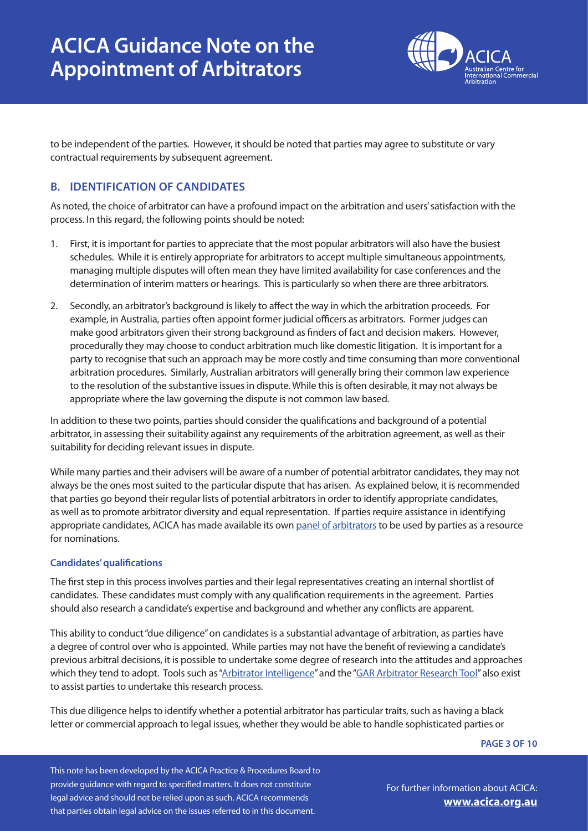

to be independent of the parties. However, it should be noted that parties may agree to substitute or vary contractual requirements by subsequent agreement.

### **B. IDENTIFICATION OF CANDIDATES**

As noted, the choice of arbitrator can have a profound impact on the arbitration and users' satisfaction with the process. In this regard, the following points should be noted:

- 1. First, it is important for parties to appreciate that the most popular arbitrators will also have the busiest schedules. While it is entirely appropriate for arbitrators to accept multiple simultaneous appointments, managing multiple disputes will often mean they have limited availability for case conferences and the determination of interim matters or hearings. This is particularly so when there are three arbitrators.
- 2. Secondly, an arbitrator's background is likely to affect the way in which the arbitration proceeds. For example, in Australia, parties often appoint former judicial officers as arbitrators. Former judges can make good arbitrators given their strong background as finders of fact and decision makers. However, procedurally they may choose to conduct arbitration much like domestic litigation. It is important for a party to recognise that such an approach may be more costly and time consuming than more conventional arbitration procedures. Similarly, Australian arbitrators will generally bring their common law experience to the resolution of the substantive issues in dispute. While this is often desirable, it may not always be appropriate where the law governing the dispute is not common law based.

In addition to these two points, parties should consider the qualifications and background of a potential arbitrator, in assessing their suitability against any requirements of the arbitration agreement, as well as their suitability for deciding relevant issues in dispute.

While many parties and their advisers will be aware of a number of potential arbitrator candidates, they may not always be the ones most suited to the particular dispute that has arisen. As explained below, it is recommended that parties go beyond their regular lists of potential arbitrators in order to identify appropriate candidates, as well as to promote arbitrator diversity and equal representation. If parties require assistance in identifying appropriate candidates, ACICA has made available its own [panel of arbitrators](https://acica.org.au/arbitrator-panellist-search/#!directory) to be used by parties as a resource for nominations.

### **Candidates' qualifications**

The first step in this process involves parties and their legal representatives creating an internal shortlist of candidates. These candidates must comply with any qualification requirements in the agreement. Parties should also research a candidate's expertise and background and whether any conflicts are apparent.

This ability to conduct "due diligence" on candidates is a substantial advantage of arbitration, as parties have a degree of control over who is appointed. While parties may not have the benefit of reviewing a candidate's previous arbitral decisions, it is possible to undertake some degree of research into the attitudes and approaches which they tend to adopt. Tools such as ["Arbitrator Intelligence](https://arbitratorintelligence.com/)" and the ["GAR Arbitrator Research Tool"](https://globalarbitrationreview.com/tools/arbitrator-research-tool) also exist to assist parties to undertake this research process.

This due diligence helps to identify whether a potential arbitrator has particular traits, such as having a black letter or commercial approach to legal issues, whether they would be able to handle sophisticated parties or

**PAGE 3 OF 10**

This note has been developed by the ACICA Practice & Procedures Board to provide guidance with regard to specified matters. It does not constitute legal advice and should not be relied upon as such. ACICA recommends that parties obtain legal advice on the issues referred to in this document.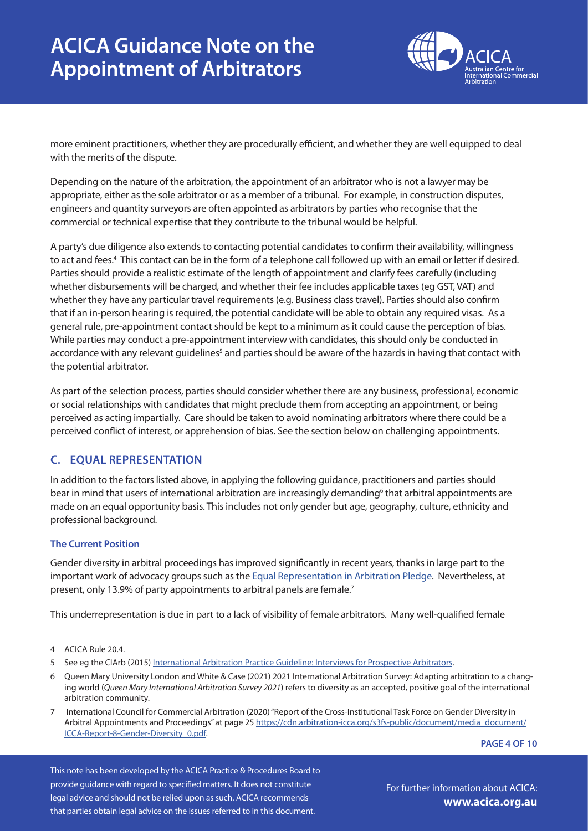

more eminent practitioners, whether they are procedurally efficient, and whether they are well equipped to deal with the merits of the dispute.

Depending on the nature of the arbitration, the appointment of an arbitrator who is not a lawyer may be appropriate, either as the sole arbitrator or as a member of a tribunal. For example, in construction disputes, engineers and quantity surveyors are often appointed as arbitrators by parties who recognise that the commercial or technical expertise that they contribute to the tribunal would be helpful.

A party's due diligence also extends to contacting potential candidates to confirm their availability, willingness to act and fees.<sup>4</sup> This contact can be in the form of a telephone call followed up with an email or letter if desired. Parties should provide a realistic estimate of the length of appointment and clarify fees carefully (including whether disbursements will be charged, and whether their fee includes applicable taxes (eg GST, VAT) and whether they have any particular travel requirements (e.g. Business class travel). Parties should also confirm that if an in-person hearing is required, the potential candidate will be able to obtain any required visas. As a general rule, pre-appointment contact should be kept to a minimum as it could cause the perception of bias. While parties may conduct a pre-appointment interview with candidates, this should only be conducted in accordance with any relevant guidelines<sup>5</sup> and parties should be aware of the hazards in having that contact with the potential arbitrator.

As part of the selection process, parties should consider whether there are any business, professional, economic or social relationships with candidates that might preclude them from accepting an appointment, or being perceived as acting impartially. Care should be taken to avoid nominating arbitrators where there could be a perceived conflict of interest, or apprehension of bias. See the section below on challenging appointments.

### **C. EQUAL REPRESENTATION**

In addition to the factors listed above, in applying the following guidance, practitioners and parties should bear in mind that users of international arbitration are increasingly demanding<sup>6</sup> that arbitral appointments are made on an equal opportunity basis. This includes not only gender but age, geography, culture, ethnicity and professional background.

### **The Current Position**

Gender diversity in arbitral proceedings has improved significantly in recent years, thanks in large part to the important work of advocacy groups such as the [Equal Representation in Arbitration Pledge](http://www.arbitrationpledge.com/). Nevertheless, at present, only 13.9% of party appointments to arbitral panels are female.<sup>7</sup>

This underrepresentation is due in part to a lack of visibility of female arbitrators. Many well-qualified female

**PAGE 4 OF 10**

This note has been developed by the ACICA Practice & Procedures Board to provide guidance with regard to specified matters. It does not constitute legal advice and should not be relied upon as such. ACICA recommends that parties obtain legal advice on the issues referred to in this document.

<sup>4</sup> ACICA Rule 20.4.

<sup>5</sup> See eg the CIArb (2015) [International Arbitration Practice Guideline: Interviews for Prospective Arbitrators](file:///Users/lockhart%2022/%20Work/_WIP/%20ALL%20JOBS%20IN%20PROGRESS/ACICA/_ACICA%202021%20P%26P%20Toolkit/_word%20docs/chrome-extension://efaidnbmnnnibpcajpcglclefindmkaj/viewer.html?pdfurl=https%3A%2F%2Fwww.ciarb.org%2Fmedia%2F4185%2Fguideline-1-interviews-for-prospective-arbitrators-2015.pdf&clen=720605&chunk=true).

<sup>6</sup> Queen Mary University London and White & Case (2021) 2021 International Arbitration Survey: Adapting arbitration to a changing world (*Queen Mary International Arbitration Survey 2021*) refers to diversity as an accepted, positive goal of the international arbitration community.

<sup>7</sup> International Council for Commercial Arbitration (2020) "Report of the Cross-Institutional Task Force on Gender Diversity in Arbitral Appointments and Proceedings" at page 25 [https://cdn.arbitration-icca.org/s3fs-public/document/media\\_document/](about:blank) [ICCA-Report-8-Gender-Diversity\\_0.pdf.](about:blank)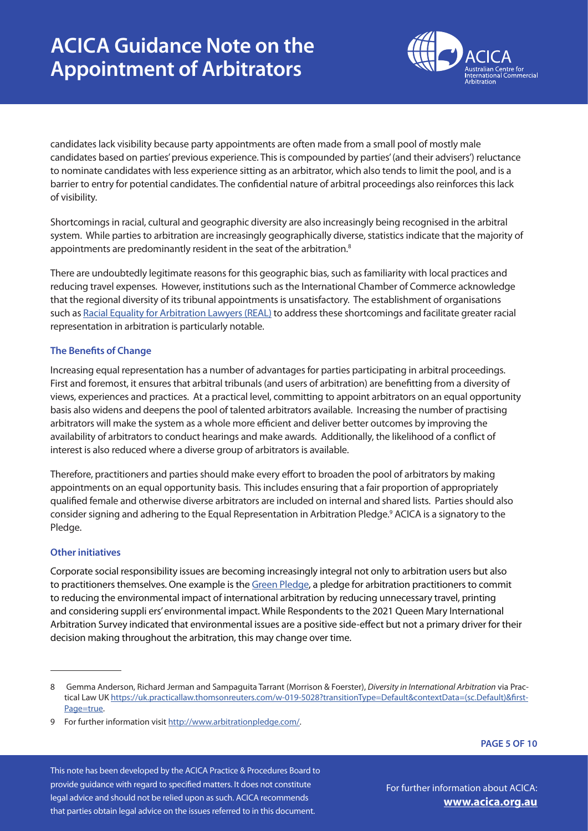

candidates lack visibility because party appointments are often made from a small pool of mostly male candidates based on parties' previous experience. This is compounded by parties' (and their advisers') reluctance to nominate candidates with less experience sitting as an arbitrator, which also tends to limit the pool, and is a barrier to entry for potential candidates. The confidential nature of arbitral proceedings also reinforces this lack of visibility.

Shortcomings in racial, cultural and geographic diversity are also increasingly being recognised in the arbitral system. While parties to arbitration are increasingly geographically diverse, statistics indicate that the majority of appointments are predominantly resident in the seat of the arbitration.<sup>8</sup>

There are undoubtedly legitimate reasons for this geographic bias, such as familiarity with local practices and reducing travel expenses. However, institutions such as the International Chamber of Commerce acknowledge that the regional diversity of its tribunal appointments is unsatisfactory. The establishment of organisations such as [Racial Equality for Arbitration Lawyers \(REAL\)](https://letsgetrealarbitration.org/) to address these shortcomings and facilitate greater racial representation in arbitration is particularly notable.

#### **The Benefits of Change**

Increasing equal representation has a number of advantages for parties participating in arbitral proceedings. First and foremost, it ensures that arbitral tribunals (and users of arbitration) are benefitting from a diversity of views, experiences and practices. At a practical level, committing to appoint arbitrators on an equal opportunity basis also widens and deepens the pool of talented arbitrators available. Increasing the number of practising arbitrators will make the system as a whole more efficient and deliver better outcomes by improving the availability of arbitrators to conduct hearings and make awards. Additionally, the likelihood of a conflict of interest is also reduced where a diverse group of arbitrators is available.

Therefore, practitioners and parties should make every effort to broaden the pool of arbitrators by making appointments on an equal opportunity basis. This includes ensuring that a fair proportion of appropriately qualified female and otherwise diverse arbitrators are included on internal and shared lists. Parties should also consider signing and adhering to the Equal Representation in Arbitration Pledge.<sup>9</sup> ACICA is a signatory to the Pledge.

### **Other initiatives**

Corporate social responsibility issues are becoming increasingly integral not only to arbitration users but also to practitioners themselves. One example is the [Green Pledge,](https://www.greenerarbitrations.com/greenpledge) a pledge for arbitration practitioners to commit to reducing the environmental impact of international arbitration by reducing unnecessary travel, printing and considering suppli ers' environmental impact. While Respondents to the 2021 Queen Mary International Arbitration Survey indicated that environmental issues are a positive side-effect but not a primary driver for their decision making throughout the arbitration, this may change over time.

**PAGE 5 OF 10**

This note has been developed by the ACICA Practice & Procedures Board to provide guidance with regard to specified matters. It does not constitute legal advice and should not be relied upon as such. ACICA recommends that parties obtain legal advice on the issues referred to in this document.

<sup>8</sup> Gemma Anderson, Richard Jerman and Sampaguita Tarrant (Morrison & Foerster), *Diversity in International Arbitration* via Practical Law UK [https://uk.practicallaw.thomsonreuters.com/w-019-5028?transitionType=Default&contextData=\(sc.Default\)&first-](about:blank)[Page=true](about:blank).

<sup>9</sup> For further information visit [http://www.arbitrationpledge.com/](about:blank).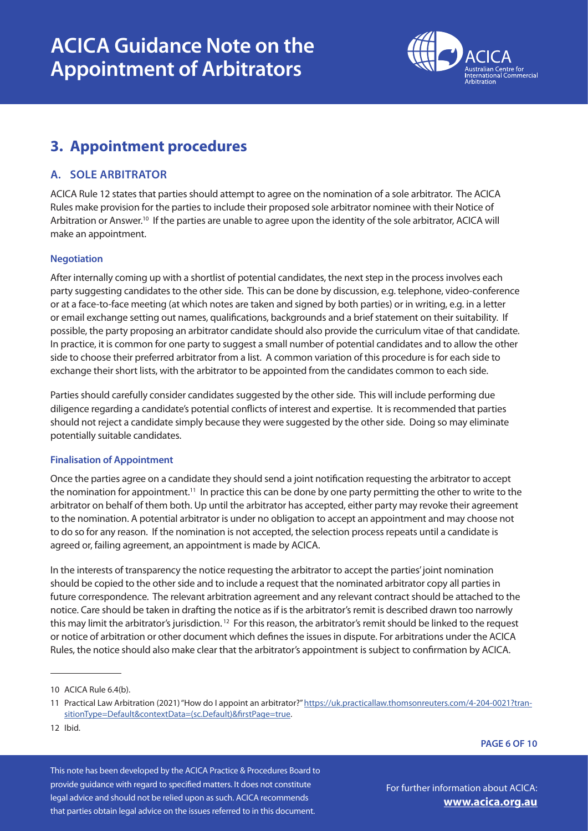

## **3. Appointment procedures**

### **A. SOLE ARBITRATOR**

ACICA Rule 12 states that parties should attempt to agree on the nomination of a sole arbitrator. The ACICA Rules make provision for the parties to include their proposed sole arbitrator nominee with their Notice of Arbitration or Answer.<sup>10</sup> If the parties are unable to agree upon the identity of the sole arbitrator, ACICA will make an appointment.

#### **Negotiation**

After internally coming up with a shortlist of potential candidates, the next step in the process involves each party suggesting candidates to the other side. This can be done by discussion, e.g. telephone, video-conference or at a face-to-face meeting (at which notes are taken and signed by both parties) or in writing, e.g. in a letter or email exchange setting out names, qualifications, backgrounds and a brief statement on their suitability. If possible, the party proposing an arbitrator candidate should also provide the curriculum vitae of that candidate. In practice, it is common for one party to suggest a small number of potential candidates and to allow the other side to choose their preferred arbitrator from a list. A common variation of this procedure is for each side to exchange their short lists, with the arbitrator to be appointed from the candidates common to each side.

Parties should carefully consider candidates suggested by the other side. This will include performing due diligence regarding a candidate's potential conflicts of interest and expertise. It is recommended that parties should not reject a candidate simply because they were suggested by the other side. Doing so may eliminate potentially suitable candidates.

#### **Finalisation of Appointment**

Once the parties agree on a candidate they should send a joint notification requesting the arbitrator to accept the nomination for appointment.<sup>11</sup> In practice this can be done by one party permitting the other to write to the arbitrator on behalf of them both. Up until the arbitrator has accepted, either party may revoke their agreement to the nomination. A potential arbitrator is under no obligation to accept an appointment and may choose not to do so for any reason. If the nomination is not accepted, the selection process repeats until a candidate is agreed or, failing agreement, an appointment is made by ACICA.

In the interests of transparency the notice requesting the arbitrator to accept the parties' joint nomination should be copied to the other side and to include a request that the nominated arbitrator copy all parties in future correspondence. The relevant arbitration agreement and any relevant contract should be attached to the notice. Care should be taken in drafting the notice as if is the arbitrator's remit is described drawn too narrowly this may limit the arbitrator's jurisdiction.<sup>12</sup> For this reason, the arbitrator's remit should be linked to the request or notice of arbitration or other document which defines the issues in dispute. For arbitrations under the ACICA Rules, the notice should also make clear that the arbitrator's appointment is subject to confirmation by ACICA.

**PAGE 6 OF 10**

This note has been developed by the ACICA Practice & Procedures Board to provide guidance with regard to specified matters. It does not constitute legal advice and should not be relied upon as such. ACICA recommends that parties obtain legal advice on the issues referred to in this document.

<sup>10</sup> ACICA Rule 6.4(b).

<sup>11</sup> Practical Law Arbitration (2021) "How do I appoint an arbitrator?" [https://uk.practicallaw.thomsonreuters.com/4-204-0021?tran](about:blank)[sitionType=Default&contextData=\(sc.Default\)&firstPage=true](about:blank).

<sup>12</sup> Ibid.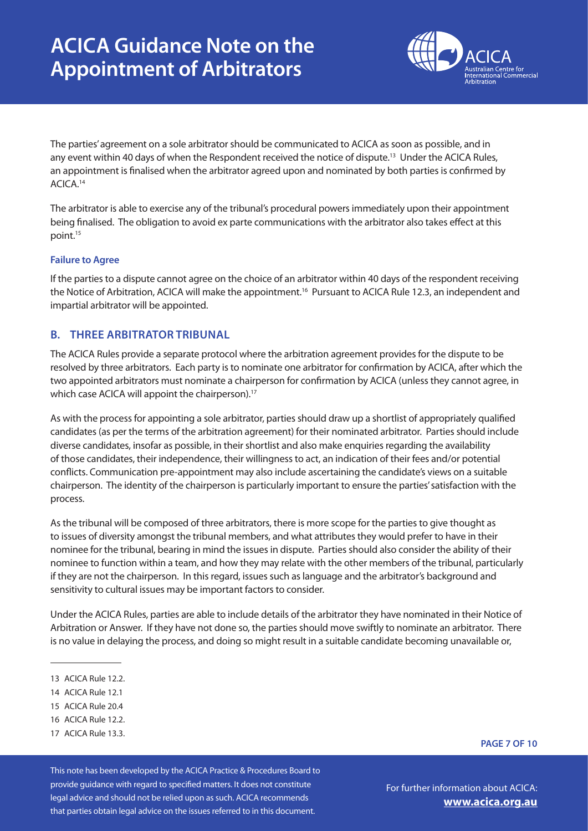

The parties' agreement on a sole arbitrator should be communicated to ACICA as soon as possible, and in any event within 40 days of when the Respondent received the notice of dispute.<sup>13</sup> Under the ACICA Rules, an appointment is finalised when the arbitrator agreed upon and nominated by both parties is confirmed by ACICA.14

The arbitrator is able to exercise any of the tribunal's procedural powers immediately upon their appointment being finalised. The obligation to avoid ex parte communications with the arbitrator also takes effect at this point.15

#### **Failure to Agree**

If the parties to a dispute cannot agree on the choice of an arbitrator within 40 days of the respondent receiving the Notice of Arbitration, ACICA will make the appointment.<sup>16</sup> Pursuant to ACICA Rule 12.3, an independent and impartial arbitrator will be appointed.

### **B. THREE ARBITRATOR TRIBUNAL**

The ACICA Rules provide a separate protocol where the arbitration agreement provides for the dispute to be resolved by three arbitrators. Each party is to nominate one arbitrator for confirmation by ACICA, after which the two appointed arbitrators must nominate a chairperson for confirmation by ACICA (unless they cannot agree, in which case ACICA will appoint the chairperson).<sup>17</sup>

As with the process for appointing a sole arbitrator, parties should draw up a shortlist of appropriately qualified candidates (as per the terms of the arbitration agreement) for their nominated arbitrator. Parties should include diverse candidates, insofar as possible, in their shortlist and also make enquiries regarding the availability of those candidates, their independence, their willingness to act, an indication of their fees and/or potential conflicts. Communication pre-appointment may also include ascertaining the candidate's views on a suitable chairperson. The identity of the chairperson is particularly important to ensure the parties' satisfaction with the process.

As the tribunal will be composed of three arbitrators, there is more scope for the parties to give thought as to issues of diversity amongst the tribunal members, and what attributes they would prefer to have in their nominee for the tribunal, bearing in mind the issues in dispute. Parties should also consider the ability of their nominee to function within a team, and how they may relate with the other members of the tribunal, particularly if they are not the chairperson. In this regard, issues such as language and the arbitrator's background and sensitivity to cultural issues may be important factors to consider.

Under the ACICA Rules, parties are able to include details of the arbitrator they have nominated in their Notice of Arbitration or Answer. If they have not done so, the parties should move swiftly to nominate an arbitrator. There is no value in delaying the process, and doing so might result in a suitable candidate becoming unavailable or,

- 14 ACICA Rule 12.1
- 15 ACICA Rule 20.4
- 16 ACICA Rule 12.2.
- 17 ACICA Rule 13.3.

This note has been developed by the ACICA Practice & Procedures Board to provide guidance with regard to specified matters. It does not constitute legal advice and should not be relied upon as such. ACICA recommends that parties obtain legal advice on the issues referred to in this document.

For further information about ACICA: **[www.acica.org.au](https://www.acica.org.au/)**

**PAGE 7 OF 10**

<sup>13</sup> ACICA Rule 12.2.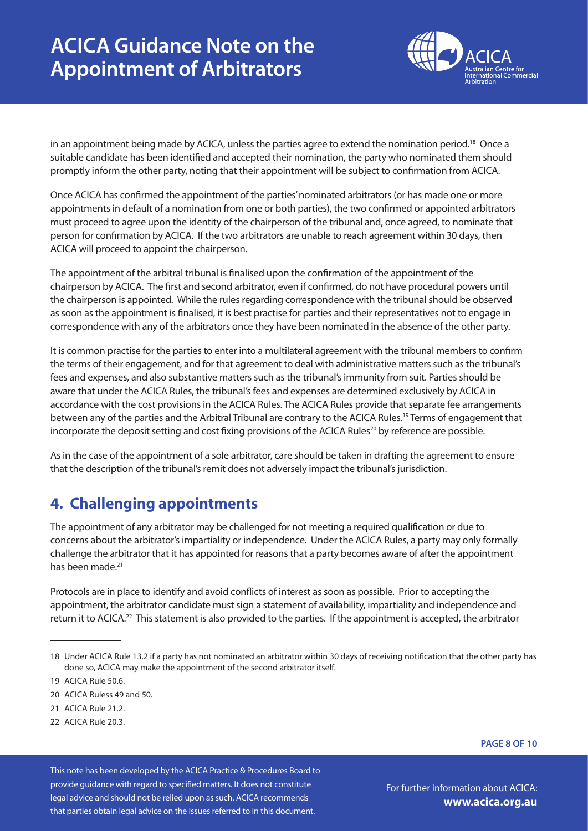# **ACICA Guidance Note on the Appointment of Arbitrators**



in an appointment being made by ACICA, unless the parties agree to extend the nomination period.<sup>18</sup> Once a suitable candidate has been identified and accepted their nomination, the party who nominated them should promptly inform the other party, noting that their appointment will be subject to confirmation from ACICA.

Once ACICA has confirmed the appointment of the parties' nominated arbitrators (or has made one or more appointments in default of a nomination from one or both parties), the two confirmed or appointed arbitrators must proceed to agree upon the identity of the chairperson of the tribunal and, once agreed, to nominate that person for confirmation by ACICA. If the two arbitrators are unable to reach agreement within 30 days, then ACICA will proceed to appoint the chairperson.

The appointment of the arbitral tribunal is finalised upon the confirmation of the appointment of the chairperson by ACICA. The first and second arbitrator, even if confirmed, do not have procedural powers until the chairperson is appointed. While the rules regarding correspondence with the tribunal should be observed as soon as the appointment is finalised, it is best practise for parties and their representatives not to engage in correspondence with any of the arbitrators once they have been nominated in the absence of the other party.

It is common practise for the parties to enter into a multilateral agreement with the tribunal members to confirm the terms of their engagement, and for that agreement to deal with administrative matters such as the tribunal's fees and expenses, and also substantive matters such as the tribunal's immunity from suit. Parties should be aware that under the ACICA Rules, the tribunal's fees and expenses are determined exclusively by ACICA in accordance with the cost provisions in the ACICA Rules. The ACICA Rules provide that separate fee arrangements between any of the parties and the Arbitral Tribunal are contrary to the ACICA Rules.19 Terms of engagement that incorporate the deposit setting and cost fixing provisions of the ACICA Rules<sup>20</sup> by reference are possible.

As in the case of the appointment of a sole arbitrator, care should be taken in drafting the agreement to ensure that the description of the tribunal's remit does not adversely impact the tribunal's jurisdiction.

## **4. Challenging appointments**

The appointment of any arbitrator may be challenged for not meeting a required qualification or due to concerns about the arbitrator's impartiality or independence. Under the ACICA Rules, a party may only formally challenge the arbitrator that it has appointed for reasons that a party becomes aware of after the appointment has been made.<sup>21</sup>

Protocols are in place to identify and avoid conflicts of interest as soon as possible. Prior to accepting the appointment, the arbitrator candidate must sign a statement of availability, impartiality and independence and return it to ACICA.<sup>22</sup> This statement is also provided to the parties. If the appointment is accepted, the arbitrator

19 ACICA Rule 50.6.

22 ACICA Rule 20.3.

**PAGE 8 OF 10**

This note has been developed by the ACICA Practice & Procedures Board to provide guidance with regard to specified matters. It does not constitute legal advice and should not be relied upon as such. ACICA recommends that parties obtain legal advice on the issues referred to in this document.

<sup>18</sup> Under ACICA Rule 13.2 if a party has not nominated an arbitrator within 30 days of receiving notification that the other party has done so, ACICA may make the appointment of the second arbitrator itself.

<sup>20</sup> ACICA Ruless 49 and 50.

<sup>21</sup> ACICA Rule 21.2.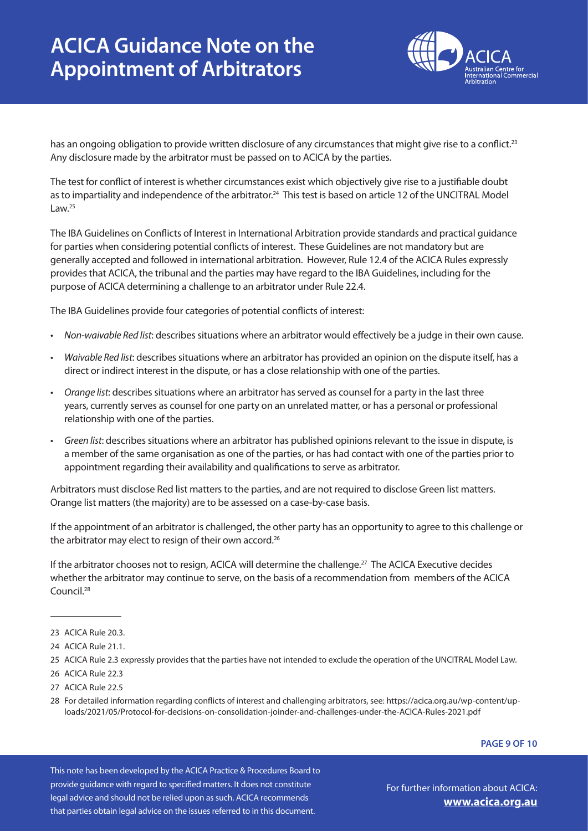# **ACICA Guidance Note on the Appointment of Arbitrators**



has an ongoing obligation to provide written disclosure of any circumstances that might give rise to a conflict.<sup>23</sup> Any disclosure made by the arbitrator must be passed on to ACICA by the parties.

The test for conflict of interest is whether circumstances exist which objectively give rise to a justifiable doubt as to impartiality and independence of the arbitrator.<sup>24</sup> This test is based on article 12 of the UNCITRAL Model Law. $25$ 

The IBA Guidelines on Conflicts of Interest in International Arbitration provide standards and practical guidance for parties when considering potential conflicts of interest. These Guidelines are not mandatory but are generally accepted and followed in international arbitration. However, Rule 12.4 of the ACICA Rules expressly provides that ACICA, the tribunal and the parties may have regard to the IBA Guidelines, including for the purpose of ACICA determining a challenge to an arbitrator under Rule 22.4.

The IBA Guidelines provide four categories of potential conflicts of interest:

- *• Non-waivable Red list*: describes situations where an arbitrator would effectively be a judge in their own cause.
- *• Waivable Red list*: describes situations where an arbitrator has provided an opinion on the dispute itself, has a direct or indirect interest in the dispute, or has a close relationship with one of the parties.
- *• Orange list*: describes situations where an arbitrator has served as counsel for a party in the last three years, currently serves as counsel for one party on an unrelated matter, or has a personal or professional relationship with one of the parties.
- *• Green list*: describes situations where an arbitrator has published opinions relevant to the issue in dispute, is a member of the same organisation as one of the parties, or has had contact with one of the parties prior to appointment regarding their availability and qualifications to serve as arbitrator.

Arbitrators must disclose Red list matters to the parties, and are not required to disclose Green list matters. Orange list matters (the majority) are to be assessed on a case-by-case basis.

If the appointment of an arbitrator is challenged, the other party has an opportunity to agree to this challenge or the arbitrator may elect to resign of their own accord.<sup>26</sup>

If the arbitrator chooses not to resign, ACICA will determine the challenge.<sup>27</sup> The ACICA Executive decides whether the arbitrator may continue to serve, on the basis of a recommendation from members of the ACICA Council.28

25 ACICA Rule 2.3 expressly provides that the parties have not intended to exclude the operation of the UNCITRAL Model Law.

27 ACICA Rule 22.5

#### **PAGE 9 OF 10**

This note has been developed by the ACICA Practice & Procedures Board to provide guidance with regard to specified matters. It does not constitute legal advice and should not be relied upon as such. ACICA recommends that parties obtain legal advice on the issues referred to in this document.

<sup>23</sup> ACICA Rule 20.3.

<sup>24</sup> ACICA Rule 21.1

<sup>26</sup> ACICA Rule 22.3

<sup>28</sup> For detailed information regarding conflicts of interest and challenging arbitrators, see: https://acica.org.au/wp-content/uploads/2021/05/Protocol-for-decisions-on-consolidation-joinder-and-challenges-under-the-ACICA-Rules-2021.pdf